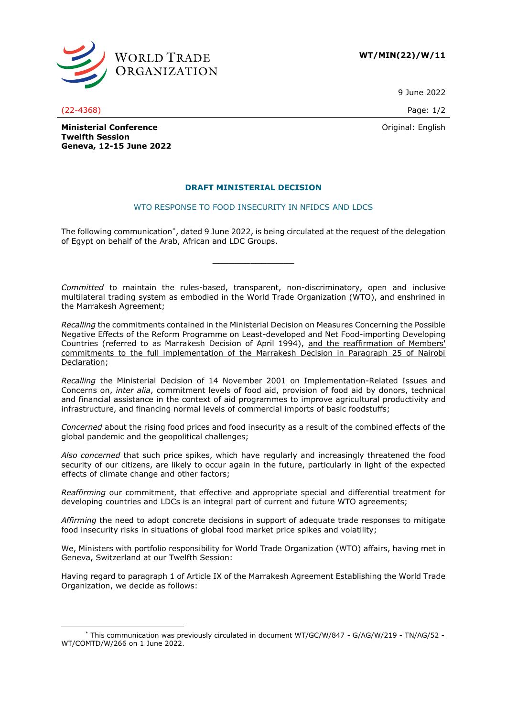

**WT/MIN(22)/W/11**

9 June 2022

Original: English

(22-4368) Page: 1/2

**Ministerial Conference Twelfth Session Geneva, 12-15 June 2022**

## **DRAFT MINISTERIAL DECISION**

## WTO RESPONSE TO FOOD INSECURITY IN NFIDCS AND LDCS

The following communication\* , dated 9 June 2022, is being circulated at the request of the delegation of Egypt on behalf of the Arab, African and LDC Groups.

**\_\_\_\_\_\_\_\_\_\_\_\_\_\_\_**

*Committed* to maintain the rules-based, transparent, non-discriminatory, open and inclusive multilateral trading system as embodied in the World Trade Organization (WTO), and enshrined in the Marrakesh Agreement;

*Recalling* the commitments contained in the Ministerial Decision on Measures Concerning the Possible Negative Effects of the Reform Programme on Least-developed and Net Food-importing Developing Countries (referred to as Marrakesh Decision of April 1994), and the reaffirmation of Members' commitments to the full implementation of the Marrakesh Decision in Paragraph 25 of Nairobi Declaration;

*Recalling* the Ministerial Decision of 14 November 2001 on Implementation-Related Issues and Concerns on, *inter alia*, commitment levels of food aid, provision of food aid by donors, technical and financial assistance in the context of aid programmes to improve agricultural productivity and infrastructure, and financing normal levels of commercial imports of basic foodstuffs;

*Concerned* about the rising food prices and food insecurity as a result of the combined effects of the global pandemic and the geopolitical challenges;

*Also concerned* that such price spikes, which have regularly and increasingly threatened the food security of our citizens, are likely to occur again in the future, particularly in light of the expected effects of climate change and other factors;

*Reaffirming* our commitment, that effective and appropriate special and differential treatment for developing countries and LDCs is an integral part of current and future WTO agreements;

*Affirming* the need to adopt concrete decisions in support of adequate trade responses to mitigate food insecurity risks in situations of global food market price spikes and volatility;

We, Ministers with portfolio responsibility for World Trade Organization (WTO) affairs, having met in Geneva, Switzerland at our Twelfth Session:

Having regard to paragraph 1 of Article IX of the Marrakesh Agreement Establishing the World Trade Organization, we decide as follows:

<sup>\*</sup> This communication was previously circulated in document WT/GC/W/847 - G/AG/W/219 - TN/AG/52 - WT/COMTD/W/266 on 1 June 2022.